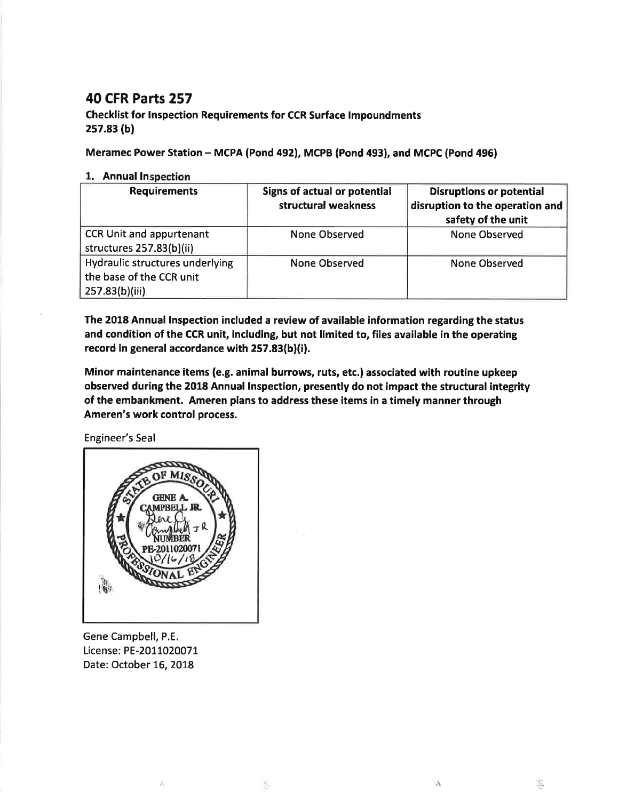## **40 CFR Parts 257**

## **Checklist for Inspection Requirements for CCR Surface Impoundments**  $257.83(b)$

Meramec Power Station - MCPA (Pond 492), MCPB (Pond 493), and MCPC (Pond 496)

## 1. Annual Inspection

| <b>Requirements</b>                                                           | Signs of actual or potential<br>structural weakness | <b>Disruptions or potential</b><br>disruption to the operation and<br>safety of the unit |
|-------------------------------------------------------------------------------|-----------------------------------------------------|------------------------------------------------------------------------------------------|
| <b>CCR Unit and appurtenant</b><br>structures 257.83(b)(ii)                   | None Observed                                       | <b>None Observed</b>                                                                     |
| Hydraulic structures underlying<br>the base of the CCR unit<br>257.83(b)(iii) | <b>None Observed</b>                                | None Observed                                                                            |

The 2018 Annual Inspection included a review of available information regarding the status and condition of the CCR unit, including, but not limited to, files available in the operating record in general accordance with 257.83(b)(i).

Minor maintenance items (e.g. animal burrows, ruts, etc.) associated with routine upkeep observed during the 2018 Annual Inspection, presently do not impact the structural integrity of the embankment. Ameren plans to address these items in a timely manner through Ameren's work control process.

Engineer's Seal



Gene Campbell, P.E. License: PE-2011020071 Date: October 16, 2018

Ň,

8

 $\ell_{\ell}$ 

 $\frac{1}{\sqrt{2}}$